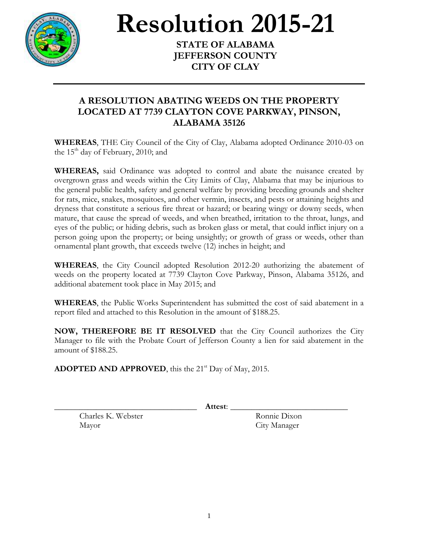

## **Resolution 2015-21**

**STATE OF ALABAMA JEFFERSON COUNTY CITY OF CLAY**

## **A RESOLUTION ABATING WEEDS ON THE PROPERTY LOCATED AT 7739 CLAYTON COVE PARKWAY, PINSON, ALABAMA 35126**

**WHEREAS**, THE City Council of the City of Clay, Alabama adopted Ordinance 2010-03 on the  $15<sup>th</sup>$  day of February, 2010; and

**WHEREAS,** said Ordinance was adopted to control and abate the nuisance created by overgrown grass and weeds within the City Limits of Clay, Alabama that may be injurious to the general public health, safety and general welfare by providing breeding grounds and shelter for rats, mice, snakes, mosquitoes, and other vermin, insects, and pests or attaining heights and dryness that constitute a serious fire threat or hazard; or bearing wingy or downy seeds, when mature, that cause the spread of weeds, and when breathed, irritation to the throat, lungs, and eyes of the public; or hiding debris, such as broken glass or metal, that could inflict injury on a person going upon the property; or being unsightly; or growth of grass or weeds, other than ornamental plant growth, that exceeds twelve (12) inches in height; and

**WHEREAS**, the City Council adopted Resolution 2012-20 authorizing the abatement of weeds on the property located at 7739 Clayton Cove Parkway, Pinson, Alabama 35126, and additional abatement took place in May 2015; and

**WHEREAS**, the Public Works Superintendent has submitted the cost of said abatement in a report filed and attached to this Resolution in the amount of \$188.25.

**NOW, THEREFORE BE IT RESOLVED** that the City Council authorizes the City Manager to file with the Probate Court of Jefferson County a lien for said abatement in the amount of \$188.25.

**ADOPTED AND APPROVED**, this the 21<sup>st</sup> Day of May, 2015.

\_\_\_\_\_\_\_\_\_\_\_\_\_\_\_\_\_\_\_\_\_\_\_\_\_\_\_\_\_\_\_\_\_\_ **Attest**: \_\_\_\_\_\_\_\_\_\_\_\_\_\_\_\_\_\_\_\_\_\_\_\_\_\_\_\_

Charles K. Webster Ronnie Dixon Mayor City Manager